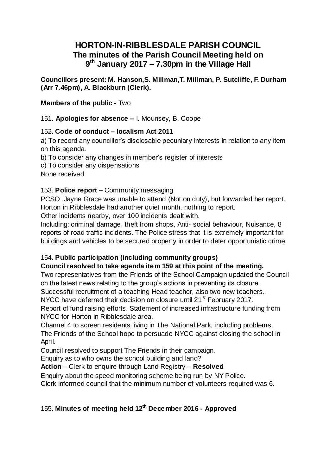# **HORTON-IN-RIBBLESDALE PARISH COUNCIL The minutes of the Parish Council Meeting held on 9 th January 2017 – 7.30pm in the Village Hall**

**Councillors present: M. Hanson,S. Millman,T. Millman, P. Sutcliffe, F. Durham (Arr 7.46pm), A. Blackburn (Clerk).**

**Members of the public -** Two

151. **Apologies for absence –** I. Mounsey, B. Coope

### 152**. Code of conduct – localism Act 2011**

a) To record any councillor's disclosable pecuniary interests in relation to any item on this agenda.

b) To consider any changes in member's register of interests

c) To consider any dispensations

None received

## 153. **Police report –** Community messaging

PCSO .Jayne Grace was unable to attend (Not on duty), but forwarded her report. Horton in Ribblesdale had another quiet month, nothing to report.

Other incidents nearby, over 100 incidents dealt with.

Including: criminal damage, theft from shops, Anti- social behaviour, Nuisance, 8 reports of road traffic incidents. The Police stress that it is extremely important for buildings and vehicles to be secured property in order to deter opportunistic crime.

## 154**. Public participation (including community groups)**

## **Council resolved to take agenda item 159 at this point of the meeting.**

Two representatives from the Friends of the School Campaign updated the Council on the latest news relating to the group's actions in preventing its closure.

Successful recruitment of a teaching Head teacher, also two new teachers.

NYCC have deferred their decision on closure until 21 $^{\rm st}$  February 2017.

Report of fund raising efforts, Statement of increased infrastructure funding from NYCC for Horton in Ribblesdale area.

Channel 4 to screen residents living in The National Park, including problems. The Friends of the School hope to persuade NYCC against closing the school in April.

Council resolved to support The Friends in their campaign.

Enquiry as to who owns the school building and land?

**Action** – Clerk to enquire through Land Registry – **Resolved**

Enquiry about the speed monitoring scheme being run by NY Police.

Clerk informed council that the minimum number of volunteers required was 6.

# 155. **Minutes of meeting held 12 th December 2016 - Approved**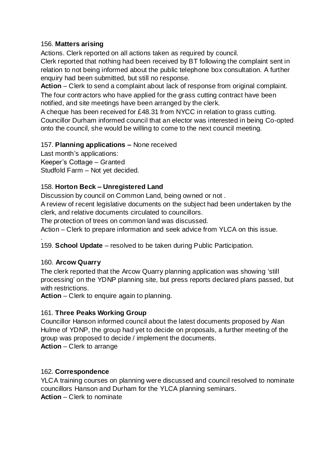#### 156. **Matters arising**

Actions. Clerk reported on all actions taken as required by council.

Clerk reported that nothing had been received by BT following the complaint sent in relation to not being informed about the public telephone box consultation. A further enquiry had been submitted, but still no response.

**Action** – Clerk to send a complaint about lack of response from original complaint. The four contractors who have applied for the grass cutting contract have been notified, and site meetings have been arranged by the clerk.

A cheque has been received for £48.31 from NYCC in relation to grass cutting. Councillor Durham informed council that an elector was interested in being Co-opted onto the council, she would be willing to come to the next council meeting.

### 157. **Planning applications –** None received

Last month's applications: Keeper's Cottage – Granted Studfold Farm – Not yet decided.

### 158. **Horton Beck – Unregistered Land**

Discussion by council on Common Land, being owned or not .

A review of recent legislative documents on the subject had been undertaken by the clerk, and relative documents circulated to councillors.

The protection of trees on common land was discussed.

Action – Clerk to prepare information and seek advice from YLCA on this issue.

159. **School Update** – resolved to be taken during Public Participation.

### 160. **Arcow Quarry**

.

The clerk reported that the Arcow Quarry planning application was showing 'still processing' on the YDNP planning site, but press reports declared plans passed, but with restrictions.

**Action** – Clerk to enquire again to planning.

### 161. **Three Peaks Working Group**

Councillor Hanson informed council about the latest documents proposed by Alan Hulme of YDNP, the group had yet to decide on proposals, a further meeting of the group was proposed to decide / implement the documents. **Action** – Clerk to arrange

### 162. **Correspondence**

YLCA training courses on planning were discussed and council resolved to nominate councillors Hanson and Durham for the YLCA planning seminars. **Action** – Clerk to nominate